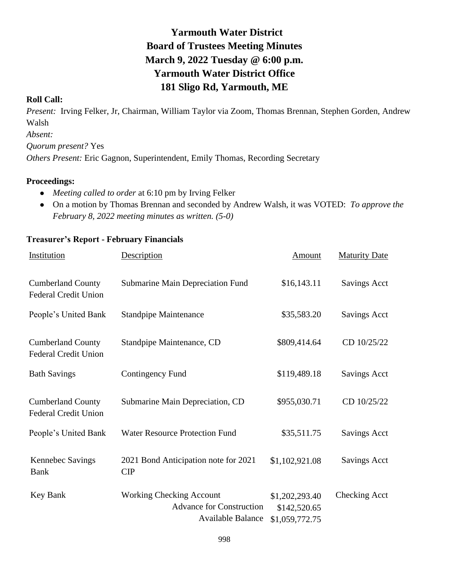# **Yarmouth Water District Board of Trustees Meeting Minutes March 9, 2022 Tuesday @ 6:00 p.m. Yarmouth Water District Office 181 Sligo Rd, Yarmouth, ME**

### **Roll Call:**

*Present:* Irving Felker, Jr, Chairman, William Taylor via Zoom, Thomas Brennan, Stephen Gorden, Andrew Walsh *Absent: Quorum present?* Yes *Others Present:* Eric Gagnon, Superintendent, Emily Thomas, Recording Secretary

### **Proceedings:**

- *Meeting called to order* at 6:10 pm by Irving Felker
- On a motion by Thomas Brennan and seconded by Andrew Walsh, it was VOTED: *To approve the February 8, 2022 meeting minutes as written. (5-0)*

| Institution                                             | Description                                                                                    | Amount                                           | <b>Maturity Date</b> |
|---------------------------------------------------------|------------------------------------------------------------------------------------------------|--------------------------------------------------|----------------------|
| <b>Cumberland County</b><br><b>Federal Credit Union</b> | Submarine Main Depreciation Fund                                                               | \$16,143.11                                      | <b>Savings Acct</b>  |
| People's United Bank                                    | <b>Standpipe Maintenance</b>                                                                   | \$35,583.20                                      | <b>Savings Acct</b>  |
| <b>Cumberland County</b><br><b>Federal Credit Union</b> | Standpipe Maintenance, CD                                                                      | \$809,414.64                                     | CD 10/25/22          |
| <b>Bath Savings</b>                                     | <b>Contingency Fund</b>                                                                        | \$119,489.18                                     | <b>Savings Acct</b>  |
| <b>Cumberland County</b><br><b>Federal Credit Union</b> | Submarine Main Depreciation, CD                                                                | \$955,030.71                                     | CD 10/25/22          |
| People's United Bank                                    | Water Resource Protection Fund                                                                 | \$35,511.75                                      | <b>Savings Acct</b>  |
| Kennebec Savings<br><b>Bank</b>                         | 2021 Bond Anticipation note for 2021<br>CIP                                                    | \$1,102,921.08                                   | <b>Savings Acct</b>  |
| Key Bank                                                | <b>Working Checking Account</b><br><b>Advance for Construction</b><br><b>Available Balance</b> | \$1,202,293.40<br>\$142,520.65<br>\$1,059,772.75 | <b>Checking Acct</b> |

#### **Treasurer's Report - February Financials**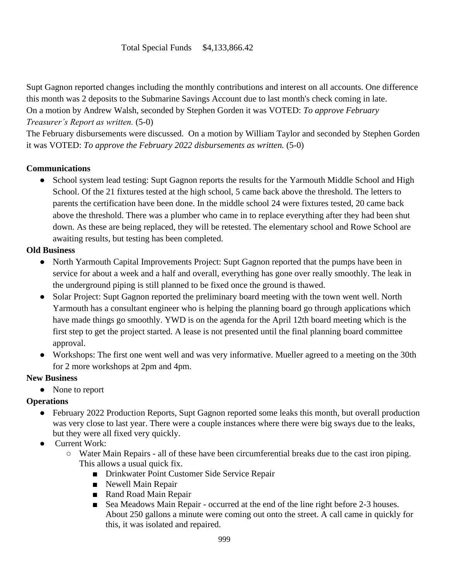# Total Special Funds \$4,133,866.42

Supt Gagnon reported changes including the monthly contributions and interest on all accounts. One difference this month was 2 deposits to the Submarine Savings Account due to last month's check coming in late. On a motion by Andrew Walsh, seconded by Stephen Gorden it was VOTED: *To approve February Treasurer's Report as written.* (5-0)

The February disbursements were discussed. On a motion by William Taylor and seconded by Stephen Gorden it was VOTED: *To approve the February 2022 disbursements as written.* (5-0)

# **Communications**

• School system lead testing: Supt Gagnon reports the results for the Yarmouth Middle School and High School. Of the 21 fixtures tested at the high school, 5 came back above the threshold. The letters to parents the certification have been done. In the middle school 24 were fixtures tested, 20 came back above the threshold. There was a plumber who came in to replace everything after they had been shut down. As these are being replaced, they will be retested. The elementary school and Rowe School are awaiting results, but testing has been completed.

# **Old Business**

- North Yarmouth Capital Improvements Project: Supt Gagnon reported that the pumps have been in service for about a week and a half and overall, everything has gone over really smoothly. The leak in the underground piping is still planned to be fixed once the ground is thawed.
- Solar Project: Supt Gagnon reported the preliminary board meeting with the town went well. North Yarmouth has a consultant engineer who is helping the planning board go through applications which have made things go smoothly. YWD is on the agenda for the April 12th board meeting which is the first step to get the project started. A lease is not presented until the final planning board committee approval.
- Workshops: The first one went well and was very informative. Mueller agreed to a meeting on the 30th for 2 more workshops at 2pm and 4pm.

# **New Business**

• None to report

# **Operations**

- February 2022 Production Reports, Supt Gagnon reported some leaks this month, but overall production was very close to last year. There were a couple instances where there were big sways due to the leaks, but they were all fixed very quickly.
- Current Work:
	- Water Main Repairs all of these have been circumferential breaks due to the cast iron piping. This allows a usual quick fix.
		- Drinkwater Point Customer Side Service Repair
		- Newell Main Repair
		- Rand Road Main Repair
		- Sea Meadows Main Repair occurred at the end of the line right before 2-3 houses. About 250 gallons a minute were coming out onto the street. A call came in quickly for this, it was isolated and repaired.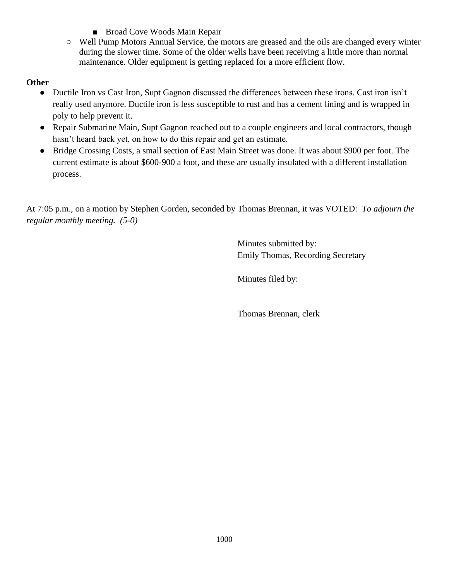- Broad Cove Woods Main Repair
- Well Pump Motors Annual Service, the motors are greased and the oils are changed every winter during the slower time. Some of the older wells have been receiving a little more than normal maintenance. Older equipment is getting replaced for a more efficient flow.

# **Other**

- Ductile Iron vs Cast Iron, Supt Gagnon discussed the differences between these irons. Cast iron isn't really used anymore. Ductile iron is less susceptible to rust and has a cement lining and is wrapped in poly to help prevent it.
- Repair Submarine Main, Supt Gagnon reached out to a couple engineers and local contractors, though hasn't heard back yet, on how to do this repair and get an estimate.
- Bridge Crossing Costs, a small section of East Main Street was done. It was about \$900 per foot. The current estimate is about \$600-900 a foot, and these are usually insulated with a different installation process.

At 7:05 p.m., on a motion by Stephen Gorden, seconded by Thomas Brennan, it was VOTED: *To adjourn the regular monthly meeting. (5-0)*

> Minutes submitted by: Emily Thomas, Recording Secretary

Minutes filed by:

Thomas Brennan, clerk